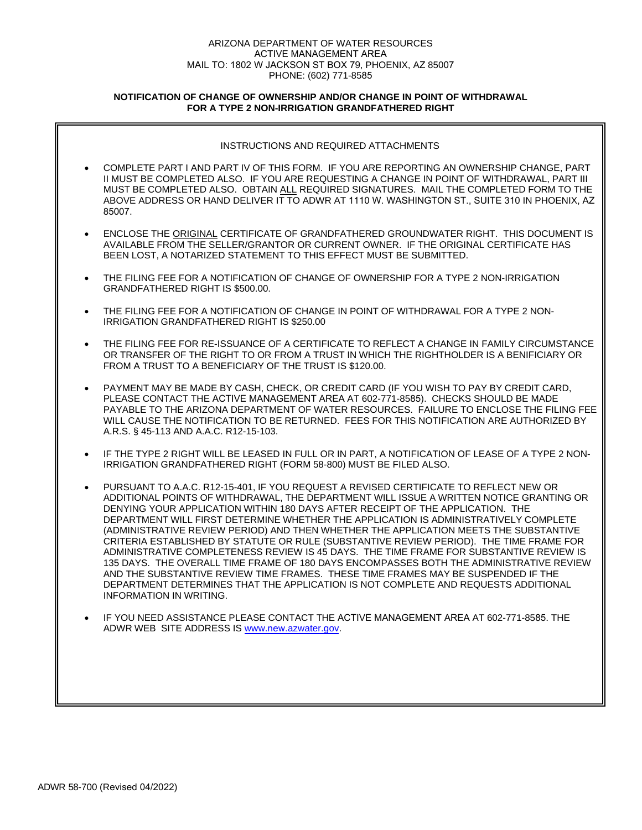# ARIZONA DEPARTMENT OF WATER RESOURCES ACTIVE MANAGEMENT AREA MAIL TO: 1802 W JACKSON ST BOX 79, PHOENIX, AZ 85007 PHONE: (602) 771-8585

# **NOTIFICATION OF CHANGE OF OWNERSHIP AND/OR CHANGE IN POINT OF WITHDRAWAL FOR A TYPE 2 NON-IRRIGATION GRANDFATHERED RIGHT**

|           | INSTRUCTIONS AND REQUIRED ATTACHMENTS                                                                                                                                                                                                                                                                                                                                                                                                                                                                                                                                                                                                                                                                                                                                                                                                                                                                                                             |
|-----------|---------------------------------------------------------------------------------------------------------------------------------------------------------------------------------------------------------------------------------------------------------------------------------------------------------------------------------------------------------------------------------------------------------------------------------------------------------------------------------------------------------------------------------------------------------------------------------------------------------------------------------------------------------------------------------------------------------------------------------------------------------------------------------------------------------------------------------------------------------------------------------------------------------------------------------------------------|
|           | COMPLETE PART I AND PART IV OF THIS FORM. IF YOU ARE REPORTING AN OWNERSHIP CHANGE, PART<br>II MUST BE COMPLETED ALSO. IF YOU ARE REQUESTING A CHANGE IN POINT OF WITHDRAWAL, PART III<br>MUST BE COMPLETED ALSO. OBTAIN ALL REQUIRED SIGNATURES. MAIL THE COMPLETED FORM TO THE<br>ABOVE ADDRESS OR HAND DELIVER IT TO ADWR AT 1110 W. WASHINGTON ST., SUITE 310 IN PHOENIX, AZ<br>85007.                                                                                                                                                                                                                                                                                                                                                                                                                                                                                                                                                        |
| $\bullet$ | ENCLOSE THE ORIGINAL CERTIFICATE OF GRANDFATHERED GROUNDWATER RIGHT. THIS DOCUMENT IS<br>AVAILABLE FROM THE SELLER/GRANTOR OR CURRENT OWNER. IF THE ORIGINAL CERTIFICATE HAS<br>BEEN LOST, A NOTARIZED STATEMENT TO THIS EFFECT MUST BE SUBMITTED.                                                                                                                                                                                                                                                                                                                                                                                                                                                                                                                                                                                                                                                                                                |
| $\bullet$ | THE FILING FEE FOR A NOTIFICATION OF CHANGE OF OWNERSHIP FOR A TYPE 2 NON-IRRIGATION<br>GRANDFATHERED RIGHT IS \$500.00.                                                                                                                                                                                                                                                                                                                                                                                                                                                                                                                                                                                                                                                                                                                                                                                                                          |
| $\bullet$ | THE FILING FEE FOR A NOTIFICATION OF CHANGE IN POINT OF WITHDRAWAL FOR A TYPE 2 NON-<br>IRRIGATION GRANDFATHERED RIGHT IS \$250.00                                                                                                                                                                                                                                                                                                                                                                                                                                                                                                                                                                                                                                                                                                                                                                                                                |
| $\bullet$ | THE FILING FEE FOR RE-ISSUANCE OF A CERTIFICATE TO REFLECT A CHANGE IN FAMILY CIRCUMSTANCE<br>OR TRANSFER OF THE RIGHT TO OR FROM A TRUST IN WHICH THE RIGHTHOLDER IS A BENIFICIARY OR<br>FROM A TRUST TO A BENEFICIARY OF THE TRUST IS \$120.00.                                                                                                                                                                                                                                                                                                                                                                                                                                                                                                                                                                                                                                                                                                 |
| $\bullet$ | PAYMENT MAY BE MADE BY CASH, CHECK, OR CREDIT CARD (IF YOU WISH TO PAY BY CREDIT CARD,<br>PLEASE CONTACT THE ACTIVE MANAGEMENT AREA AT 602-771-8585). CHECKS SHOULD BE MADE<br>PAYABLE TO THE ARIZONA DEPARTMENT OF WATER RESOURCES. FAILURE TO ENCLOSE THE FILING FEE<br>WILL CAUSE THE NOTIFICATION TO BE RETURNED. FEES FOR THIS NOTIFICATION ARE AUTHORIZED BY<br>A.R.S. § 45-113 AND A.A.C. R12-15-103.                                                                                                                                                                                                                                                                                                                                                                                                                                                                                                                                      |
| $\bullet$ | IF THE TYPE 2 RIGHT WILL BE LEASED IN FULL OR IN PART, A NOTIFICATION OF LEASE OF A TYPE 2 NON-<br>IRRIGATION GRANDFATHERED RIGHT (FORM 58-800) MUST BE FILED ALSO.                                                                                                                                                                                                                                                                                                                                                                                                                                                                                                                                                                                                                                                                                                                                                                               |
| $\bullet$ | PURSUANT TO A.A.C. R12-15-401, IF YOU REQUEST A REVISED CERTIFICATE TO REFLECT NEW OR<br>ADDITIONAL POINTS OF WITHDRAWAL, THE DEPARTMENT WILL ISSUE A WRITTEN NOTICE GRANTING OR<br>DENYING YOUR APPLICATION WITHIN 180 DAYS AFTER RECEIPT OF THE APPLICATION. THE<br>DEPARTMENT WILL FIRST DETERMINE WHETHER THE APPLICATION IS ADMINISTRATIVELY COMPLETE<br>(ADMINISTRATIVE REVIEW PERIOD) AND THEN WHETHER THE APPLICATION MEETS THE SUBSTANTIVE<br>CRITERIA ESTABLISHED BY STATUTE OR RULE (SUBSTANTIVE REVIEW PERIOD). THE TIME FRAME FOR<br>ADMINISTRATIVE COMPLETENESS REVIEW IS 45 DAYS. THE TIME FRAME FOR SUBSTANTIVE REVIEW IS<br>135 DAYS. THE OVERALL TIME FRAME OF 180 DAYS ENCOMPASSES BOTH THE ADMINISTRATIVE REVIEW<br>AND THE SUBSTANTIVE REVIEW TIME FRAMES. THESE TIME FRAMES MAY BE SUSPENDED IF THE<br>DEPARTMENT DETERMINES THAT THE APPLICATION IS NOT COMPLETE AND REQUESTS ADDITIONAL<br><b>INFORMATION IN WRITING.</b> |
|           | IF YOU NEED ASSISTANCE PLEASE CONTACT THE ACTIVE MANAGEMENT AREA AT 602-771-8585. THE<br>ADWR WEB SITE ADDRESS IS www.new.azwater.gov.                                                                                                                                                                                                                                                                                                                                                                                                                                                                                                                                                                                                                                                                                                                                                                                                            |
|           |                                                                                                                                                                                                                                                                                                                                                                                                                                                                                                                                                                                                                                                                                                                                                                                                                                                                                                                                                   |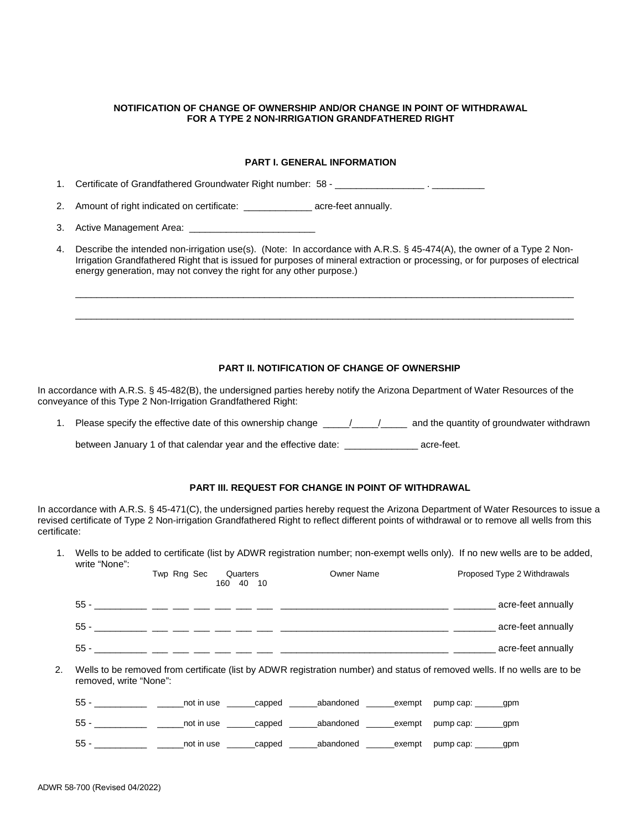### **NOTIFICATION OF CHANGE OF OWNERSHIP AND/OR CHANGE IN POINT OF WITHDRAWAL FOR A TYPE 2 NON-IRRIGATION GRANDFATHERED RIGHT**

# **PART I. GENERAL INFORMATION**

1. Certificate of Grandfathered Groundwater Right number: 58 - \_\_\_\_\_\_\_\_\_\_\_\_\_\_\_\_\_\_

2. Amount of right indicated on certificate: \_\_\_\_\_\_\_\_\_\_\_\_\_\_\_ acre-feet annually.

3. Active Management Area: \_\_\_\_\_

4. Describe the intended non-irrigation use(s). (Note: In accordance with A.R.S. § 45-474(A), the owner of a Type 2 Non-Irrigation Grandfathered Right that is issued for purposes of mineral extraction or processing, or for purposes of electrical energy generation, may not convey the right for any other purpose.)

\_\_\_\_\_\_\_\_\_\_\_\_\_\_\_\_\_\_\_\_\_\_\_\_\_\_\_\_\_\_\_\_\_\_\_\_\_\_\_\_\_\_\_\_\_\_\_\_\_\_\_\_\_\_\_\_\_\_\_\_\_\_\_\_\_\_\_\_\_\_\_\_\_\_\_\_\_\_\_\_\_\_\_\_\_\_\_\_\_\_\_\_\_\_\_

\_\_\_\_\_\_\_\_\_\_\_\_\_\_\_\_\_\_\_\_\_\_\_\_\_\_\_\_\_\_\_\_\_\_\_\_\_\_\_\_\_\_\_\_\_\_\_\_\_\_\_\_\_\_\_\_\_\_\_\_\_\_\_\_\_\_\_\_\_\_\_\_\_\_\_\_\_\_\_\_\_\_\_\_\_\_\_\_\_\_\_\_\_\_\_

### **PART II. NOTIFICATION OF CHANGE OF OWNERSHIP**

In accordance with A.R.S. § 45-482(B), the undersigned parties hereby notify the Arizona Department of Water Resources of the conveyance of this Type 2 Non-Irrigation Grandfathered Right:

1. Please specify the effective date of this ownership change  $\frac{1}{2}$  /  $\frac{1}{2}$  and the quantity of groundwater withdrawn

between January 1 of that calendar year and the effective date: \_\_\_\_\_\_\_\_\_\_\_\_\_\_ acre-feet.

# **PART III. REQUEST FOR CHANGE IN POINT OF WITHDRAWAL**

In accordance with A.R.S. § 45-471(C), the undersigned parties hereby request the Arizona Department of Water Resources to issue a revised certificate of Type 2 Non-irrigation Grandfathered Right to reflect different points of withdrawal or to remove all wells from this certificate:

1. Wells to be added to certificate (list by ADWR registration number; non-exempt wells only). If no new wells are to be added, write "None":

|    |                        | Twp Rng Sec | Quarters<br>160 40 10 | Owner Name                                                                                             |  | Proposed Type 2 Withdrawals                                                                                                |
|----|------------------------|-------------|-----------------------|--------------------------------------------------------------------------------------------------------|--|----------------------------------------------------------------------------------------------------------------------------|
|    |                        |             |                       | 55 - _______ __ __ __ __ __ __ __ __ ___                                                               |  | acre-feet annually                                                                                                         |
|    |                        |             |                       |                                                                                                        |  |                                                                                                                            |
|    |                        |             |                       |                                                                                                        |  | acre-feet annually                                                                                                         |
| 2. | removed, write "None": |             |                       |                                                                                                        |  | Wells to be removed from certificate (list by ADWR registration number) and status of removed wells. If no wells are to be |
|    |                        |             |                       | 55 - ______________ ______not in use _______capped _______abandoned ______exempt pump cap: ______gpm   |  |                                                                                                                            |
|    |                        |             |                       | 55 - _______________ ______not in use _______capped _______abandoned _______exempt pump cap: ______gpm |  |                                                                                                                            |
|    |                        |             |                       | 55 - _______________ ______not in use _______capped _______abandoned ______exempt pump cap: ______gpm  |  |                                                                                                                            |